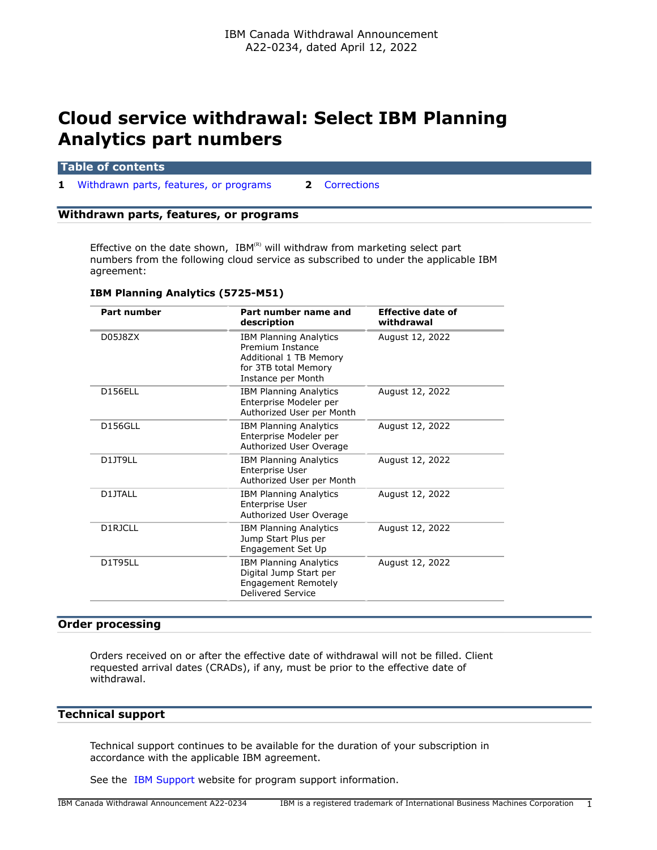# **Cloud service withdrawal: Select IBM Planning Analytics part numbers**

## **Table of contents**

**1** [Withdrawn parts, features, or programs](#page-0-0) **2** [Corrections](#page-1-0)

## <span id="page-0-0"></span>**Withdrawn parts, features, or programs**

Effective on the date shown,  $IBM^{(R)}$  will withdraw from marketing select part numbers from the following cloud service as subscribed to under the applicable IBM agreement:

| <b>Part number</b> | Part number name and<br>description                                                                                       | Effective date of<br>withdrawal |
|--------------------|---------------------------------------------------------------------------------------------------------------------------|---------------------------------|
| D0518ZX            | <b>IBM Planning Analytics</b><br>Premium Instance<br>Additional 1 TB Memory<br>for 3TB total Memory<br>Instance per Month | August 12, 2022                 |
| <b>D156ELL</b>     | <b>IBM Planning Analytics</b><br>Enterprise Modeler per<br>Authorized User per Month                                      | August 12, 2022                 |
| <b>D156GLL</b>     | <b>IBM Planning Analytics</b><br>Enterprise Modeler per<br>Authorized User Overage                                        | August 12, 2022                 |
| D11T9LL            | <b>IBM Planning Analytics</b><br>Enterprise User<br>Authorized User per Month                                             | August 12, 2022                 |
| D1JTALL            | <b>IBM Planning Analytics</b><br>Enterprise User<br>Authorized User Overage                                               | August 12, 2022                 |
| D1RJCLL            | <b>IBM Planning Analytics</b><br>Jump Start Plus per<br>Engagement Set Up                                                 | August 12, 2022                 |
| <b>D1T95LL</b>     | <b>IBM Planning Analytics</b><br>Digital Jump Start per<br><b>Engagement Remotely</b><br>Delivered Service                | August 12, 2022                 |

## **IBM Planning Analytics (5725-M51)**

## **Order processing**

Orders received on or after the effective date of withdrawal will not be filled. Client requested arrival dates (CRADs), if any, must be prior to the effective date of withdrawal.

# **Technical support**

Technical support continues to be available for the duration of your subscription in accordance with the applicable IBM agreement.

See the [IBM Support](https://www.ibm.com/support) website for program support information.